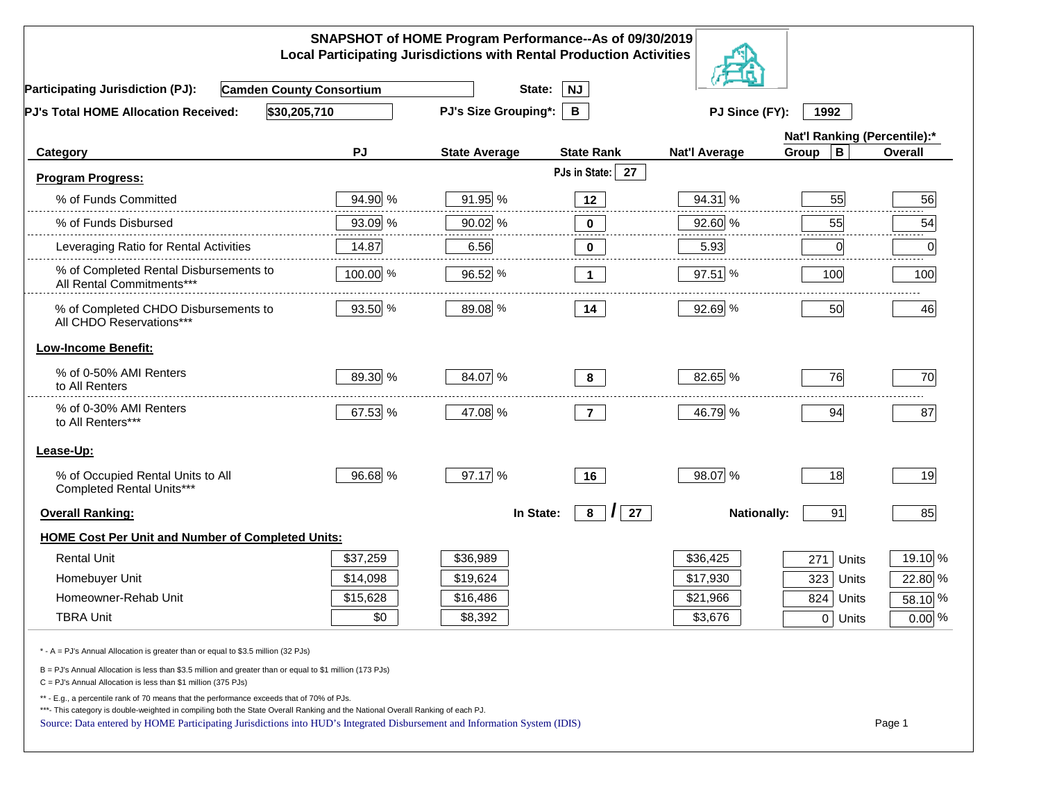|                                                                                                                                                                                                                                                                                                                                                          |          | SNAPSHOT of HOME Program Performance--As of 09/30/2019<br><b>Local Participating Jurisdictions with Rental Production Activities</b> |                     |                      |                              |                 |
|----------------------------------------------------------------------------------------------------------------------------------------------------------------------------------------------------------------------------------------------------------------------------------------------------------------------------------------------------------|----------|--------------------------------------------------------------------------------------------------------------------------------------|---------------------|----------------------|------------------------------|-----------------|
| <b>Camden County Consortium</b><br><b>Participating Jurisdiction (PJ):</b>                                                                                                                                                                                                                                                                               |          | State:                                                                                                                               | <b>NJ</b>           |                      |                              |                 |
| \$30,205,710<br>PJ's Total HOME Allocation Received:                                                                                                                                                                                                                                                                                                     |          | <b>PJ's Size Grouping*:</b>                                                                                                          | $\mathbf{B}$        | PJ Since (FY):       | 1992                         |                 |
|                                                                                                                                                                                                                                                                                                                                                          |          |                                                                                                                                      |                     |                      | Nat'l Ranking (Percentile):* |                 |
| Category                                                                                                                                                                                                                                                                                                                                                 | PJ       | <b>State Average</b>                                                                                                                 | <b>State Rank</b>   | <b>Nat'l Average</b> | $\mathbf B$<br>Group         | Overall         |
| <b>Program Progress:</b>                                                                                                                                                                                                                                                                                                                                 |          |                                                                                                                                      | PJs in State:<br>27 |                      |                              |                 |
| % of Funds Committed                                                                                                                                                                                                                                                                                                                                     | 94.90 %  | 91.95 %                                                                                                                              | 12                  | 94.31 %              | 55                           | 56              |
| % of Funds Disbursed                                                                                                                                                                                                                                                                                                                                     | 93.09 %  | 90.02 %                                                                                                                              | 0                   | 92.60 %              | 55                           | 54              |
| Leveraging Ratio for Rental Activities                                                                                                                                                                                                                                                                                                                   | 14.87    | 6.56                                                                                                                                 | $\bf{0}$            | 5.93                 | $\overline{0}$               | 2.2.2.2.2.<br>0 |
| % of Completed Rental Disbursements to<br>All Rental Commitments***                                                                                                                                                                                                                                                                                      | 100.00 % | 96.52 %                                                                                                                              | $\mathbf{1}$        | 97.51 %              | 100                          | 100             |
| % of Completed CHDO Disbursements to<br>All CHDO Reservations***                                                                                                                                                                                                                                                                                         | 93.50 %  | 89.08 %                                                                                                                              | 14                  | 92.69 %              | 50                           | 46              |
| <b>Low-Income Benefit:</b>                                                                                                                                                                                                                                                                                                                               |          |                                                                                                                                      |                     |                      |                              |                 |
| % of 0-50% AMI Renters<br>to All Renters                                                                                                                                                                                                                                                                                                                 | 89.30 %  | 84.07 %                                                                                                                              | 8                   | 82.65 %              | 76                           | 70              |
| % of 0-30% AMI Renters<br>to All Renters***                                                                                                                                                                                                                                                                                                              | 67.53 %  | 47.08 %                                                                                                                              | $\overline{7}$      | 46.79 %              | 94                           | 87              |
| Lease-Up:                                                                                                                                                                                                                                                                                                                                                |          |                                                                                                                                      |                     |                      |                              |                 |
| % of Occupied Rental Units to All<br>Completed Rental Units***                                                                                                                                                                                                                                                                                           | 96.68 %  | 97.17 %                                                                                                                              | 16                  | 98.07 %              | 18                           | 19              |
| <b>Overall Ranking:</b>                                                                                                                                                                                                                                                                                                                                  |          | In State:                                                                                                                            | 27<br>8<br>$\prime$ | <b>Nationally:</b>   | 91                           | 85              |
| HOME Cost Per Unit and Number of Completed Units:                                                                                                                                                                                                                                                                                                        |          |                                                                                                                                      |                     |                      |                              |                 |
| <b>Rental Unit</b>                                                                                                                                                                                                                                                                                                                                       | \$37,259 | \$36,989                                                                                                                             |                     | \$36,425             | 271<br>Units                 | 19.10 %         |
| Homebuyer Unit                                                                                                                                                                                                                                                                                                                                           | \$14,098 | \$19,624                                                                                                                             |                     | \$17,930             | $323$ Units                  | 22.80 %         |
| Homeowner-Rehab Unit                                                                                                                                                                                                                                                                                                                                     | \$15,628 | \$16,486                                                                                                                             |                     | \$21,966             | 824 Units                    | 58.10 %         |
| <b>TBRA Unit</b>                                                                                                                                                                                                                                                                                                                                         | \$0      | \$8,392                                                                                                                              |                     | \$3,676              | 0 Units                      | $0.00\%$        |
| * - A = PJ's Annual Allocation is greater than or equal to \$3.5 million (32 PJs)                                                                                                                                                                                                                                                                        |          |                                                                                                                                      |                     |                      |                              |                 |
| B = PJ's Annual Allocation is less than \$3.5 million and greater than or equal to \$1 million (173 PJs)<br>C = PJ's Annual Allocation is less than \$1 million (375 PJs)                                                                                                                                                                                |          |                                                                                                                                      |                     |                      |                              |                 |
| ** - E.g., a percentile rank of 70 means that the performance exceeds that of 70% of PJs.<br>***- This category is double-weighted in compiling both the State Overall Ranking and the National Overall Ranking of each PJ.<br>Source: Data entered by HOME Participating Jurisdictions into HUD's Integrated Disbursement and Information System (IDIS) |          |                                                                                                                                      |                     |                      |                              | Page 1          |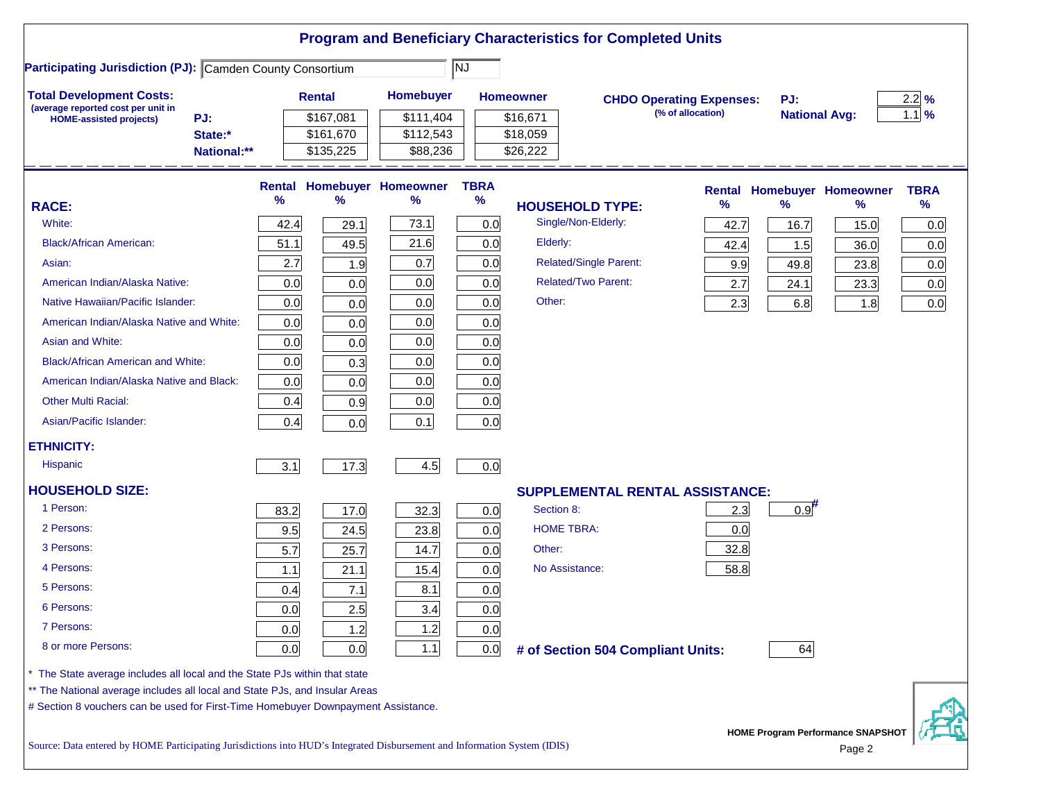|                                                                                                                                                                  |             |               |           |                            |             |                   | <b>Program and Beneficiary Characteristics for Completed Units</b> |                   |                      |                                   |                  |
|------------------------------------------------------------------------------------------------------------------------------------------------------------------|-------------|---------------|-----------|----------------------------|-------------|-------------------|--------------------------------------------------------------------|-------------------|----------------------|-----------------------------------|------------------|
| <b>Participating Jurisdiction (PJ): Camden County Consortium</b>                                                                                                 |             |               |           |                            | NJ          |                   |                                                                    |                   |                      |                                   |                  |
| <b>Total Development Costs:</b>                                                                                                                                  |             | <b>Rental</b> |           | <b>Homebuyer</b>           |             | <b>Homeowner</b>  | <b>CHDO Operating Expenses:</b>                                    |                   | PJ:                  |                                   | $2.2\frac{9}{6}$ |
| (average reported cost per unit in<br>PJ:<br><b>HOME-assisted projects)</b>                                                                                      |             |               | \$167,081 | \$111,404                  |             | \$16,671          |                                                                    | (% of allocation) | <b>National Avg:</b> |                                   | $1.1$ %          |
| State:*                                                                                                                                                          |             |               | \$161,670 | \$112,543                  |             | \$18,059          |                                                                    |                   |                      |                                   |                  |
|                                                                                                                                                                  | National:** |               | \$135,225 | \$88,236                   |             | \$26,222          |                                                                    |                   |                      |                                   |                  |
|                                                                                                                                                                  |             | Rental        |           | <b>Homebuyer Homeowner</b> | <b>TBRA</b> |                   |                                                                    |                   |                      | <b>Rental Homebuyer Homeowner</b> | <b>TBRA</b>      |
| <b>RACE:</b>                                                                                                                                                     |             | %             | ℅         | ℅                          | $\%$        |                   | <b>HOUSEHOLD TYPE:</b>                                             | %                 | $\frac{9}{6}$        | %                                 | $\%$             |
| White:                                                                                                                                                           |             | 42.4          | 29.1      | 73.1                       | 0.0         |                   | Single/Non-Elderly:                                                | 42.7              | 16.7                 | 15.0                              | 0.0              |
| <b>Black/African American:</b>                                                                                                                                   |             | 51.1          | 49.5      | 21.6                       | 0.0         | Elderly:          |                                                                    | 42.4              | 1.5                  | 36.0                              | 0.0              |
| Asian:                                                                                                                                                           |             | 2.7           | 1.9       | 0.7                        | 0.0         |                   | <b>Related/Single Parent:</b>                                      | 9.9               | 49.8                 | 23.8                              | 0.0              |
| American Indian/Alaska Native:                                                                                                                                   |             | 0.0           | 0.0       | 0.0                        | 0.0         |                   | <b>Related/Two Parent:</b>                                         | 2.7               | 24.1                 | 23.3                              | 0.0              |
| Native Hawaiian/Pacific Islander:                                                                                                                                |             | 0.0           | 0.0       | 0.0                        | 0.0         | Other:            |                                                                    | 2.3               | 6.8                  | 1.8                               | 0.0              |
| American Indian/Alaska Native and White:                                                                                                                         |             | 0.0           | 0.0       | 0.0                        | 0.0         |                   |                                                                    |                   |                      |                                   |                  |
| Asian and White:                                                                                                                                                 |             | 0.0           | 0.0       | 0.0                        | 0.0         |                   |                                                                    |                   |                      |                                   |                  |
| <b>Black/African American and White:</b>                                                                                                                         |             | 0.0           | 0.3       | 0.0                        | 0.0         |                   |                                                                    |                   |                      |                                   |                  |
| American Indian/Alaska Native and Black:                                                                                                                         |             | 0.0           | 0.0       | 0.0                        | 0.0         |                   |                                                                    |                   |                      |                                   |                  |
| <b>Other Multi Racial:</b>                                                                                                                                       |             | 0.4           | 0.9       | 0.0                        | 0.0         |                   |                                                                    |                   |                      |                                   |                  |
| Asian/Pacific Islander:                                                                                                                                          |             | 0.4           | 0.0       | 0.1                        | 0.0         |                   |                                                                    |                   |                      |                                   |                  |
| <b>ETHNICITY:</b>                                                                                                                                                |             |               |           |                            |             |                   |                                                                    |                   |                      |                                   |                  |
| <b>Hispanic</b>                                                                                                                                                  |             | 3.1           | 17.3      | 4.5                        | 0.0         |                   |                                                                    |                   |                      |                                   |                  |
| <b>HOUSEHOLD SIZE:</b>                                                                                                                                           |             |               |           |                            |             |                   | <b>SUPPLEMENTAL RENTAL ASSISTANCE:</b>                             |                   |                      |                                   |                  |
| 1 Person:                                                                                                                                                        |             | 83.2          | 17.0      | 32.3                       | 0.0         | Section 8:        |                                                                    | 2.3               | $0.9$ <sup>#</sup>   |                                   |                  |
| 2 Persons:                                                                                                                                                       |             | 9.5           | 24.5      | 23.8                       | 0.0         | <b>HOME TBRA:</b> |                                                                    | 0.0               |                      |                                   |                  |
| 3 Persons:                                                                                                                                                       |             | 5.7           | 25.7      | 14.7                       | 0.0         | Other:            |                                                                    | 32.8              |                      |                                   |                  |
| 4 Persons:                                                                                                                                                       |             | 1.1           | 21.1      | 15.4                       | 0.0         | No Assistance:    |                                                                    | 58.8              |                      |                                   |                  |
| 5 Persons:                                                                                                                                                       |             | 0.4           | 7.1       | 8.1                        | 0.0         |                   |                                                                    |                   |                      |                                   |                  |
| 6 Persons:                                                                                                                                                       |             | 0.0           | 2.5       | 3.4                        | 0.0         |                   |                                                                    |                   |                      |                                   |                  |
| 7 Persons:                                                                                                                                                       |             | 0.0           | 1.2       | 1.2                        | 0.0         |                   |                                                                    |                   |                      |                                   |                  |
| 8 or more Persons:                                                                                                                                               |             | 0.0           | 0.0       | $1.1$                      | 0.0         |                   | # of Section 504 Compliant Units:                                  |                   | 64                   |                                   |                  |
| The State average includes all local and the State PJs within that state                                                                                         |             |               |           |                            |             |                   |                                                                    |                   |                      |                                   |                  |
| ** The National average includes all local and State PJs, and Insular Areas<br># Section 8 vouchers can be used for First-Time Homebuyer Downpayment Assistance. |             |               |           |                            |             |                   |                                                                    |                   |                      |                                   |                  |
|                                                                                                                                                                  |             |               |           |                            |             |                   |                                                                    |                   |                      | HOME Program Performance SNAPSHOT |                  |
| Source: Data entered by HOME Participating Jurisdictions into HUD's Integrated Disbursement and Information System (IDIS)                                        |             |               |           |                            |             |                   |                                                                    |                   |                      | Page 2                            |                  |